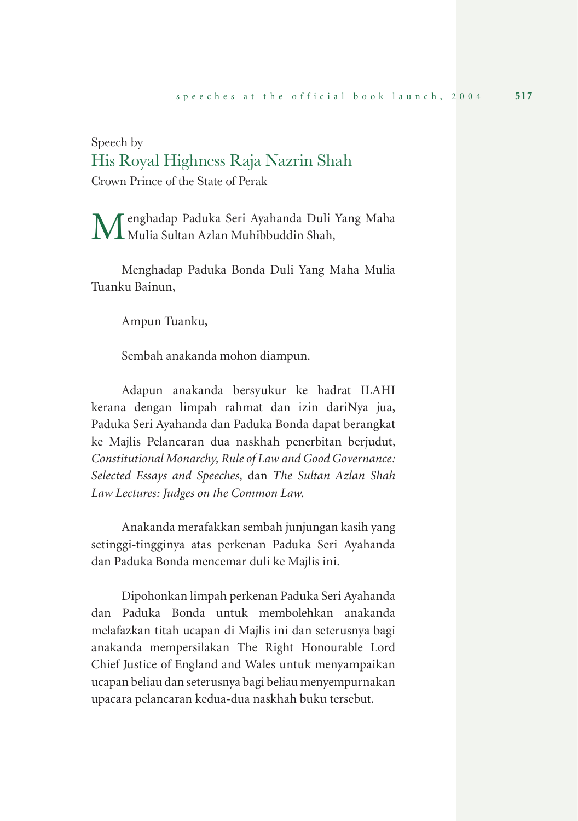## Speech by His Royal Highness Raja Nazrin Shah

Crown Prince of the State of Perak

Menghadap Paduka Seri Ayahanda Duli Yang Maha  $\bf{M}$ Mulia Sultan Azlan Muhibbuddin Shah,

Menghadap Paduka Bonda Duli Yang Maha Mulia Tuanku Bainun,

Ampun Tuanku,

Sembah anakanda mohon diampun.

Adapun anakanda bersyukur ke hadrat ILAHI kerana dengan limpah rahmat dan izin dariNya jua, Paduka Seri Ayahanda dan Paduka Bonda dapat berangkat ke Majlis Pelancaran dua naskhah penerbitan berjudut, *Constitutional Monarchy, Rule of Law and Good Governance: Selected Essays and Speeches*, dan *The Sultan Azlan Shah Law Lectures: Judges on the Common Law*.

Anakanda merafakkan sembah junjungan kasih yang setinggi-tingginya atas perkenan Paduka Seri Ayahanda dan Paduka Bonda mencemar duli ke Majlis ini.

Dipohonkan limpah perkenan Paduka Seri Ayahanda dan Paduka Bonda untuk membolehkan anakanda melafazkan titah ucapan di Majlis ini dan seterusnya bagi anakanda mempersilakan The Right Honourable Lord Chief Justice of England and Wales untuk menyampaikan ucapan beliau dan seterusnya bagi beliau menyempurnakan upacara pelancaran kedua-dua naskhah buku tersebut.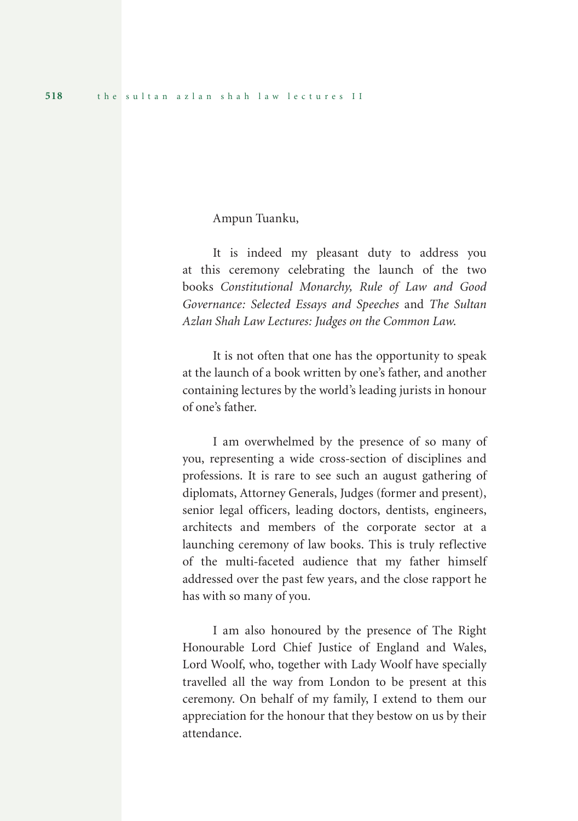Ampun Tuanku,

It is indeed my pleasant duty to address you at this ceremony celebrating the launch of the two books *Constitutional Monarchy, Rule of Law and Good Governance: Selected Essays and Speeches* and *The Sultan Azlan Shah Law Lectures: Judges on the Common Law*.

It is not often that one has the opportunity to speak at the launch of a book written by one's father, and another containing lectures by the world's leading jurists in honour of one's father.

I am overwhelmed by the presence of so many of you, representing a wide cross-section of disciplines and professions. It is rare to see such an august gathering of diplomats, Attorney Generals, Judges (former and present), senior legal officers, leading doctors, dentists, engineers, architects and members of the corporate sector at a launching ceremony of law books. This is truly reflective of the multi-faceted audience that my father himself addressed over the past few years, and the close rapport he has with so many of you.

I am also honoured by the presence of The Right Honourable Lord Chief Justice of England and Wales, Lord Woolf, who, together with Lady Woolf have specially travelled all the way from London to be present at this ceremony. On behalf of my family, I extend to them our appreciation for the honour that they bestow on us by their attendance.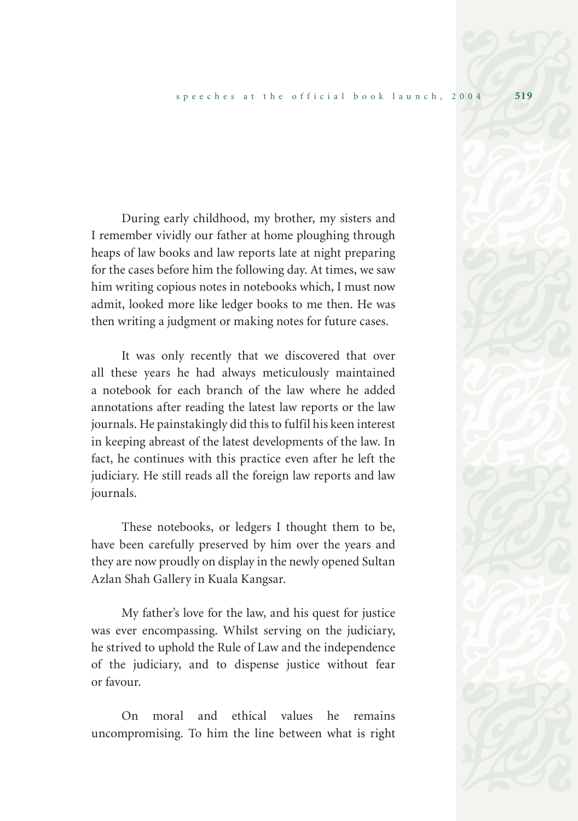During early childhood, my brother, my sisters and I remember vividly our father at home ploughing through heaps of law books and law reports late at night preparing for the cases before him the following day. At times, we saw him writing copious notes in notebooks which, I must now admit, looked more like ledger books to me then. He was then writing a judgment or making notes for future cases.

It was only recently that we discovered that over all these years he had always meticulously maintained a notebook for each branch of the law where he added annotations after reading the latest law reports or the law journals. He painstakingly did this to fulfil his keen interest in keeping abreast of the latest developments of the law. In fact, he continues with this practice even after he left the judiciary. He still reads all the foreign law reports and law journals.

These notebooks, or ledgers I thought them to be, have been carefully preserved by him over the years and they are now proudly on display in the newly opened Sultan Azlan Shah Gallery in Kuala Kangsar.

My father's love for the law, and his quest for justice was ever encompassing. Whilst serving on the judiciary, he strived to uphold the Rule of Law and the independence of the judiciary, and to dispense justice without fear or favour.

On moral and ethical values he remains uncompromising. To him the line between what is right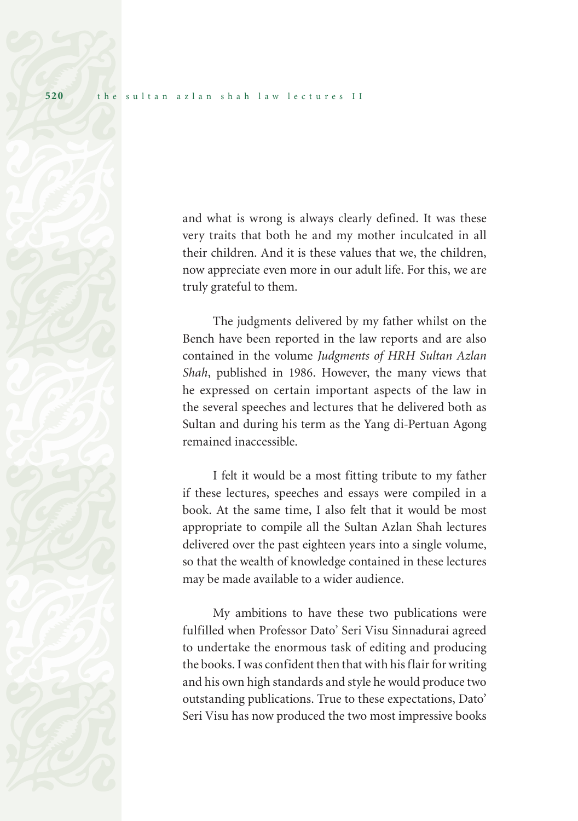and what is wrong is always clearly defined. It was these very traits that both he and my mother inculcated in all their children. And it is these values that we, the children, now appreciate even more in our adult life. For this, we are truly grateful to them.

The judgments delivered by my father whilst on the Bench have been reported in the law reports and are also contained in the volume *Judgments of HRH Sultan Azlan Shah*, published in 1986. However, the many views that he expressed on certain important aspects of the law in the several speeches and lectures that he delivered both as Sultan and during his term as the Yang di-Pertuan Agong remained inaccessible.

I felt it would be a most fitting tribute to my father if these lectures, speeches and essays were compiled in a book. At the same time, I also felt that it would be most appropriate to compile all the Sultan Azlan Shah lectures delivered over the past eighteen years into a single volume, so that the wealth of knowledge contained in these lectures may be made available to a wider audience.

My ambitions to have these two publications were fulfilled when Professor Dato' Seri Visu Sinnadurai agreed to undertake the enormous task of editing and producing the books. I was confident then that with his flair for writing and his own high standards and style he would produce two outstanding publications. True to these expectations, Dato' Seri Visu has now produced the two most impressive books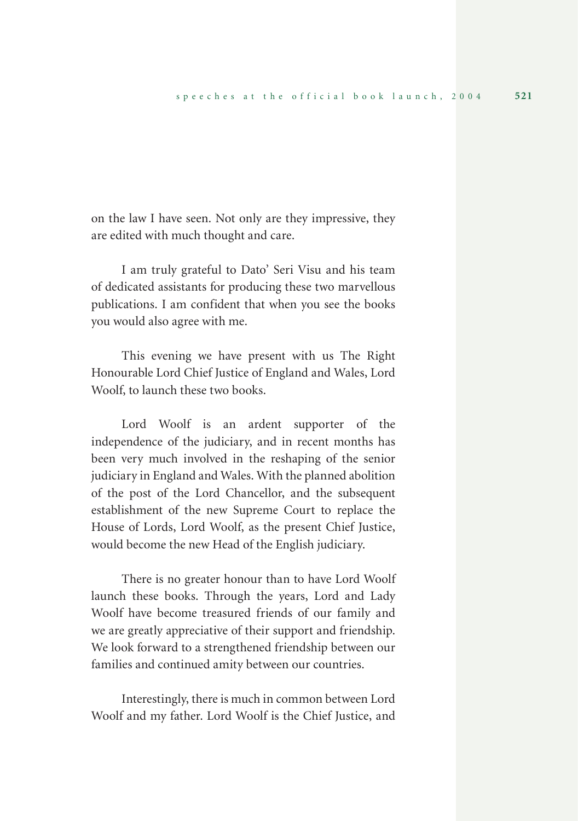on the law I have seen. Not only are they impressive, they are edited with much thought and care.

I am truly grateful to Dato' Seri Visu and his team of dedicated assistants for producing these two marvellous publications. I am confident that when you see the books you would also agree with me.

This evening we have present with us The Right Honourable Lord Chief Justice of England and Wales, Lord Woolf, to launch these two books.

Lord Woolf is an ardent supporter of the independence of the judiciary, and in recent months has been very much involved in the reshaping of the senior judiciary in England and Wales. With the planned abolition of the post of the Lord Chancellor, and the subsequent establishment of the new Supreme Court to replace the House of Lords, Lord Woolf, as the present Chief Justice, would become the new Head of the English judiciary.

There is no greater honour than to have Lord Woolf launch these books. Through the years, Lord and Lady Woolf have become treasured friends of our family and we are greatly appreciative of their support and friendship. We look forward to a strengthened friendship between our families and continued amity between our countries.

Interestingly, there is much in common between Lord Woolf and my father. Lord Woolf is the Chief Justice, and